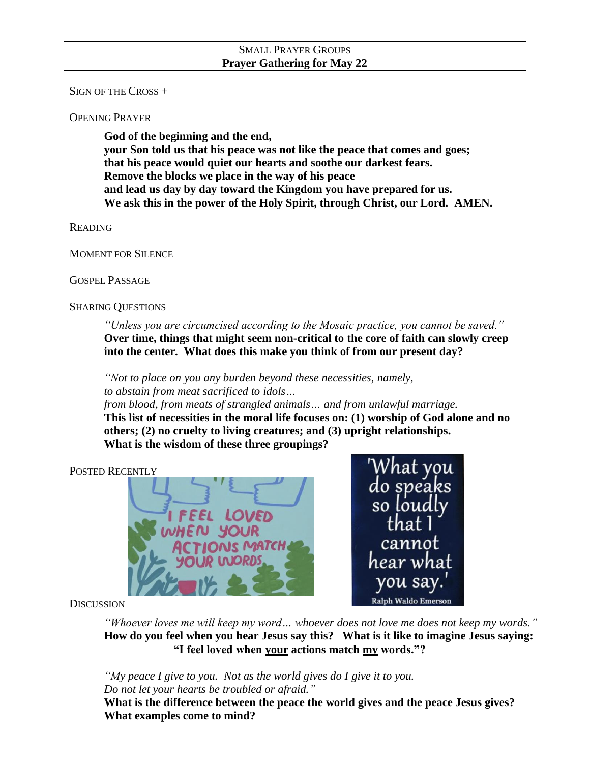SIGN OF THE CROSS +

OPENING PRAYER

**God of the beginning and the end, your Son told us that his peace was not like the peace that comes and goes; that his peace would quiet our hearts and soothe our darkest fears. Remove the blocks we place in the way of his peace and lead us day by day toward the Kingdom you have prepared for us. We ask this in the power of the Holy Spirit, through Christ, our Lord. AMEN.**

READING

MOMENT FOR SILENCE

GOSPEL PASSAGE

SHARING QUESTIONS

*"Unless you are circumcised according to the Mosaic practice, you cannot be saved."* **Over time, things that might seem non-critical to the core of faith can slowly creep into the center. What does this make you think of from our present day?**

*"Not to place on you any burden beyond these necessities, namely, to abstain from meat sacrificed to idols…* 

*from blood, from meats of strangled animals… and from unlawful marriage.* **This list of necessities in the moral life focuses on: (1) worship of God alone and no others; (2) no cruelty to living creatures; and (3) upright relationships. What is the wisdom of these three groupings?**

POSTED RECENTLY



hat vou do speaks so loudly cannot hear wha vou sav Ralph Waldo Emerson

**DISCUSSION** 

*"Whoever loves me will keep my word… whoever does not love me does not keep my words."* **How do you feel when you hear Jesus say this? What is it like to imagine Jesus saying: "I feel loved when your actions match my words."?**

*"My peace I give to you. Not as the world gives do I give it to you. Do not let your hearts be troubled or afraid."*

**What is the difference between the peace the world gives and the peace Jesus gives? What examples come to mind?**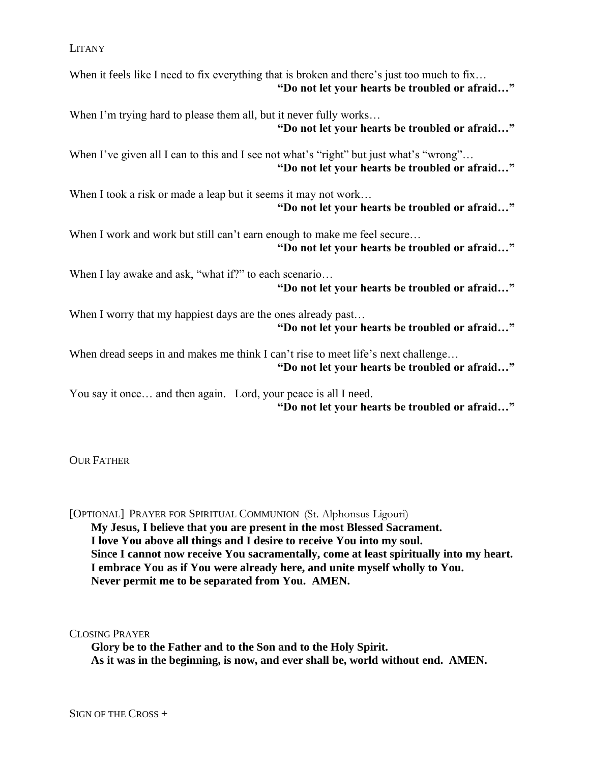LITANY

When it feels like I need to fix everything that is broken and there's just too much to fix... **"Do not let your hearts be troubled or afraid…"**

When I'm trying hard to please them all, but it never fully works... **"Do not let your hearts be troubled or afraid…"**

When I've given all I can to this and I see not what's "right" but just what's "wrong"... **"Do not let your hearts be troubled or afraid…"**

When I took a risk or made a leap but it seems it may not work... **"Do not let your hearts be troubled or afraid…"**

When I work and work but still can't earn enough to make me feel secure... **"Do not let your hearts be troubled or afraid…"**

When I lay awake and ask, "what if?" to each scenario...

**"Do not let your hearts be troubled or afraid…"**

When I worry that my happiest days are the ones already past... **"Do not let your hearts be troubled or afraid…"**

When dread seeps in and makes me think I can't rise to meet life's next challenge... **"Do not let your hearts be troubled or afraid…"**

You say it once… and then again. Lord, your peace is all I need. **"Do not let your hearts be troubled or afraid…"**

OUR FATHER

[OPTIONAL] PRAYER FOR SPIRITUAL COMMUNION (St. Alphonsus Ligouri) **My Jesus, I believe that you are present in the most Blessed Sacrament. I love You above all things and I desire to receive You into my soul. Since I cannot now receive You sacramentally, come at least spiritually into my heart. I embrace You as if You were already here, and unite myself wholly to You. Never permit me to be separated from You. AMEN.**

CLOSING PRAYER

**Glory be to the Father and to the Son and to the Holy Spirit. As it was in the beginning, is now, and ever shall be, world without end. AMEN.**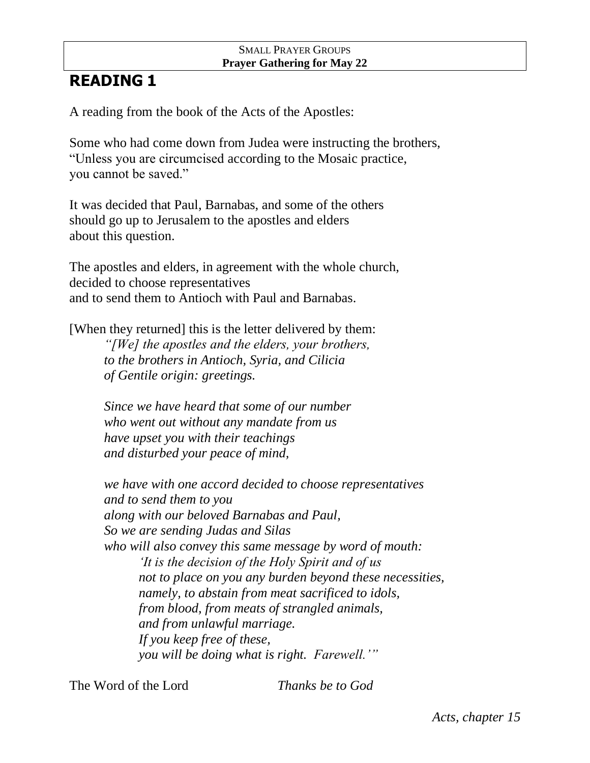## SMALL PRAYER GROUPS **Prayer Gathering for May 22**

## **READING 1**

A reading from the book of the Acts of the Apostles:

Some who had come down from Judea were instructing the brothers, "Unless you are circumcised according to the Mosaic practice, you cannot be saved."

It was decided that Paul, Barnabas, and some of the others should go up to Jerusalem to the apostles and elders about this question.

The apostles and elders, in agreement with the whole church, decided to choose representatives and to send them to Antioch with Paul and Barnabas.

[When they returned] this is the letter delivered by them: *"[We] the apostles and the elders, your brothers, to the brothers in Antioch, Syria, and Cilicia of Gentile origin: greetings.*

> *Since we have heard that some of our number who went out without any mandate from us have upset you with their teachings and disturbed your peace of mind,*

*we have with one accord decided to choose representatives and to send them to you along with our beloved Barnabas and Paul, So we are sending Judas and Silas who will also convey this same message by word of mouth: 'It is the decision of the Holy Spirit and of us not to place on you any burden beyond these necessities, namely, to abstain from meat sacrificed to idols, from blood, from meats of strangled animals, and from unlawful marriage. If you keep free of these, you will be doing what is right. Farewell.'"*

The Word of the Lord *Thanks be to God*